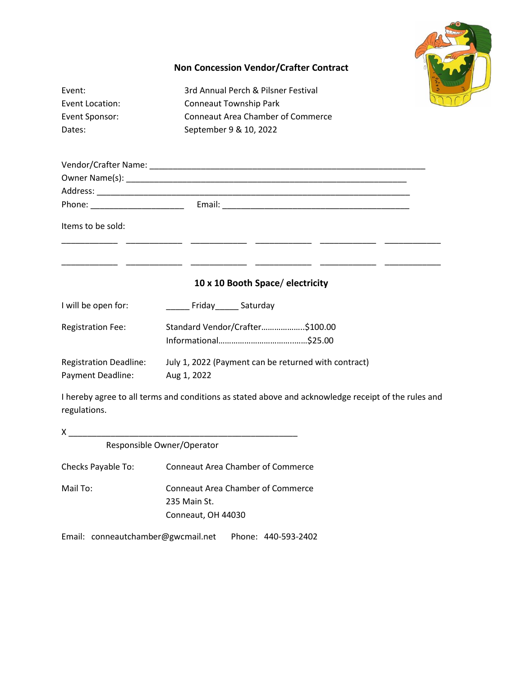

## **Non Concession Vendor/Crafter Contract**

| Event:<br><b>Event Location:</b><br>Event Sponsor:<br>Dates: | 3rd Annual Perch & Pilsner Festival<br><b>Conneaut Township Park</b><br><b>Conneaut Area Chamber of Commerce</b><br>September 9 & 10, 2022 |
|--------------------------------------------------------------|--------------------------------------------------------------------------------------------------------------------------------------------|
|                                                              |                                                                                                                                            |
|                                                              |                                                                                                                                            |
|                                                              |                                                                                                                                            |
| Items to be sold:                                            |                                                                                                                                            |
|                                                              |                                                                                                                                            |
|                                                              | 10 x 10 Booth Space/ electricity                                                                                                           |
| I will be open for:                                          | _______ Friday_______ Saturday                                                                                                             |
| <b>Registration Fee:</b>                                     | Standard Vendor/Crafter\$100.00                                                                                                            |
| <b>Registration Deadline:</b><br>Payment Deadline:           | July 1, 2022 (Payment can be returned with contract)<br>Aug 1, 2022                                                                        |
| regulations.                                                 | I hereby agree to all terms and conditions as stated above and acknowledge receipt of the rules and                                        |
|                                                              |                                                                                                                                            |
|                                                              | Responsible Owner/Operator                                                                                                                 |
| Checks Payable To:                                           | <b>Conneaut Area Chamber of Commerce</b>                                                                                                   |
| Mail To:                                                     | <b>Conneaut Area Chamber of Commerce</b>                                                                                                   |

235 Main St.

Conneaut, OH 44030

Email: conneautchamber@gwcmail.net Phone: 440-593-2402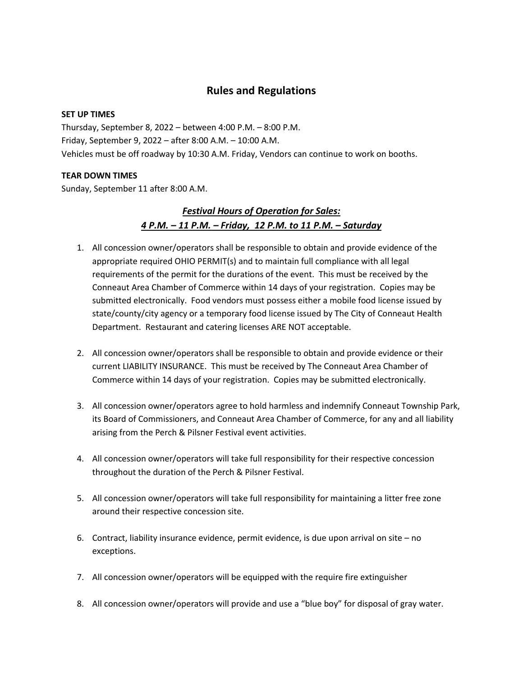## **Rules and Regulations**

#### **SET UP TIMES**

Thursday, September 8, 2022 – between 4:00 P.M. – 8:00 P.M. Friday, September 9, 2022 – after 8:00 A.M. – 10:00 A.M. Vehicles must be off roadway by 10:30 A.M. Friday, Vendors can continue to work on booths.

### **TEAR DOWN TIMES**

Sunday, September 11 after 8:00 A.M.

# *Festival Hours of Operation for Sales: 4 P.M. – 11 P.M. – Friday, 12 P.M. to 11 P.M. – Saturday*

- 1. All concession owner/operators shall be responsible to obtain and provide evidence of the appropriate required OHIO PERMIT(s) and to maintain full compliance with all legal requirements of the permit for the durations of the event. This must be received by the Conneaut Area Chamber of Commerce within 14 days of your registration. Copies may be submitted electronically. Food vendors must possess either a mobile food license issued by state/county/city agency or a temporary food license issued by The City of Conneaut Health Department. Restaurant and catering licenses ARE NOT acceptable.
- 2. All concession owner/operators shall be responsible to obtain and provide evidence or their current LIABILITY INSURANCE. This must be received by The Conneaut Area Chamber of Commerce within 14 days of your registration. Copies may be submitted electronically.
- 3. All concession owner/operators agree to hold harmless and indemnify Conneaut Township Park, its Board of Commissioners, and Conneaut Area Chamber of Commerce, for any and all liability arising from the Perch & Pilsner Festival event activities.
- 4. All concession owner/operators will take full responsibility for their respective concession throughout the duration of the Perch & Pilsner Festival.
- 5. All concession owner/operators will take full responsibility for maintaining a litter free zone around their respective concession site.
- 6. Contract, liability insurance evidence, permit evidence, is due upon arrival on site no exceptions.
- 7. All concession owner/operators will be equipped with the require fire extinguisher
- 8. All concession owner/operators will provide and use a "blue boy" for disposal of gray water.